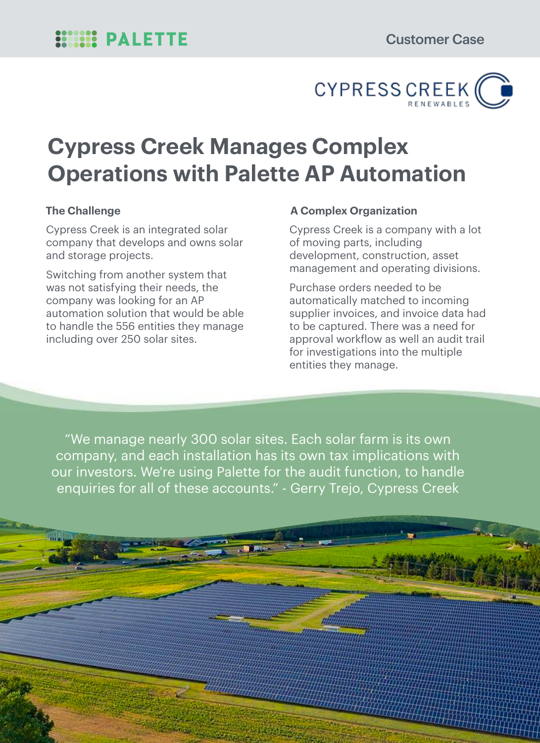

# **Cypress Creek Manages Complex Operations with Palette AP Automation**

Cypress Creek is an integrated solar company that develops and owns solar and storage projects.

Switching from another system that was not satisfying their needs, the company was looking for an AP automation solution that would be able to handle the 556 entities they manage including over 250 solar sites.

#### **The Challenge The Challenge Challenge Challenge Challenge Challenge Challenge Challenge Challenge Challenge Challenge Challenge Challenge Challenge Challenge Challenge Challenge Challenge Challenge Challenge Challenge Cha**

Cypress Creek is a company with a lot of moving parts, including development, construction, asset management and operating divisions.

Purchase orders needed to be automatically matched to incoming supplier invoices, and invoice data had to be captured. There was a need for approval workflow as well an audit trail for investigations into the multiple entities they manage.

"We manage nearly 300 solar sites. Each solar farm is its own company, and each installation has its own tax implications with our investors. We're using Palette for the audit function, to handle enquiries for all of these accounts." - Gerry Trejo, Cypress Creek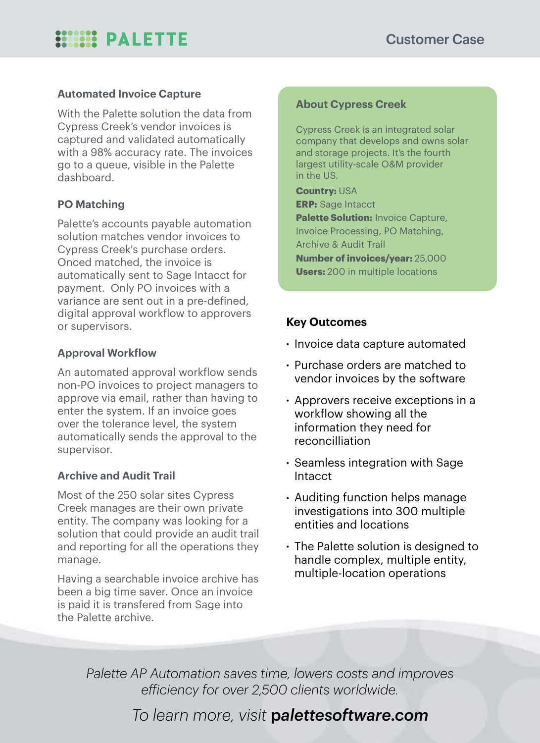## **SOCIOLES PALETTE**

#### **Automated Invoice Capture**

With the Palette solution the data from Cypress Creek's vendor invoices is captured and validated automatically with a 98% accuracy rate. The invoices go to a queue, visible in the Palette dashboard.

#### **PO Matching**

Palette's accounts payable automation solution matches vendor invoices to Cypress Creek's purchase orders. Onced matched, the invoice is automatically sent to Sage Intacct for payment. Only PO invoices with a variance are sent out in a pre-defined, digital approval workflow to approvers or supervisors.

#### **Approval Workflow**

An automated approval workflow sends non-PO invoices to project managers to approve via email, rather than having to enter the system. If an invoice goes over the tolerance level, the system automatically sends the approval to the supervisor.

#### **Archive and Audit Trail**

Most of the 250 solar sites Cypress Creek manages are their own private entity. The company was looking for a solution that could provide an audit trail and reporting for all the operations they manage.

Having a searchable invoice archive has been a big time saver. Once an invoice is paid it is transfered from Sage into the Palette archive.

#### **About Cypress Creek**

Cypress Creek is an integrated solar company that develops and owns solar and storage projects. It's the fourth largest utility-scale O&M provider in the US.

**Country:** USA **ERP:** Sage Intacct **Palette Solution: Invoice Capture,** Invoice Processing, PO Matching, Archive & Audit Trail **Number of invoices/year:** 25,000 **Users:** 200 in multiple locations

#### **Key Outcomes**

- Invoice data capture automated
- Purchase orders are matched to vendor invoices by the software
- Approvers receive exceptions in a workflow showing all the information they need for reconcilliation
- Seamless integration with Sage Intacct
- Auditing function helps manage investigations into 300 multiple entities and locations
- The Palette solution is designed to handle complex, multiple entity, multiple-location operations

*Palette AP Automation saves time, lowers costs and improves efficiency for over 2,500 clients worldwide.*

### *To learn more, visit* p*alettesoftware.com*